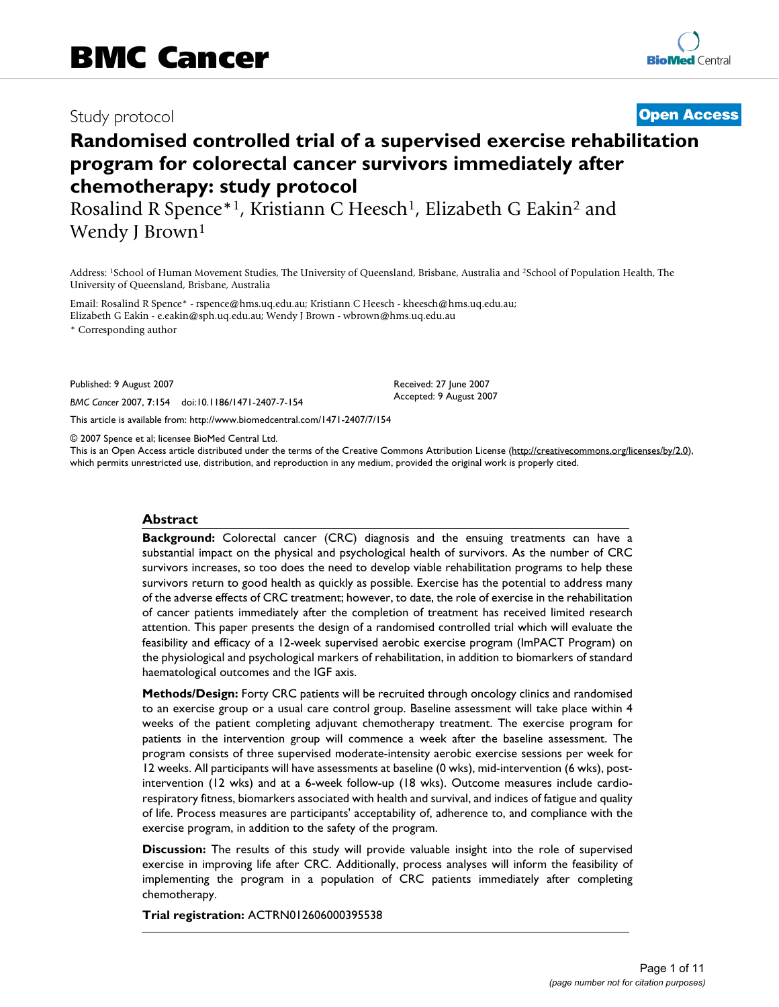# Study protocol **[Open Access](http://www.biomedcentral.com/info/about/charter/)**

# **Randomised controlled trial of a supervised exercise rehabilitation program for colorectal cancer survivors immediately after chemotherapy: study protocol**

Rosalind R Spence\*1, Kristiann C Heesch<sup>1</sup>, Elizabeth G Eakin<sup>2</sup> and Wendy J Brown<sup>1</sup>

Address: 1School of Human Movement Studies, The University of Queensland, Brisbane, Australia and 2School of Population Health, The University of Queensland, Brisbane, Australia

Email: Rosalind R Spence\* - rspence@hms.uq.edu.au; Kristiann C Heesch - kheesch@hms.uq.edu.au; Elizabeth G Eakin - e.eakin@sph.uq.edu.au; Wendy J Brown - wbrown@hms.uq.edu.au

\* Corresponding author

Published: 9 August 2007

*BMC Cancer* 2007, **7**:154 doi:10.1186/1471-2407-7-154

[This article is available from: http://www.biomedcentral.com/1471-2407/7/154](http://www.biomedcentral.com/1471-2407/7/154)

© 2007 Spence et al; licensee BioMed Central Ltd.

This is an Open Access article distributed under the terms of the Creative Commons Attribution License [\(http://creativecommons.org/licenses/by/2.0\)](http://creativecommons.org/licenses/by/2.0), which permits unrestricted use, distribution, and reproduction in any medium, provided the original work is properly cited.

Received: 27 June 2007 Accepted: 9 August 2007

#### **Abstract**

**Background:** Colorectal cancer (CRC) diagnosis and the ensuing treatments can have a substantial impact on the physical and psychological health of survivors. As the number of CRC survivors increases, so too does the need to develop viable rehabilitation programs to help these survivors return to good health as quickly as possible. Exercise has the potential to address many of the adverse effects of CRC treatment; however, to date, the role of exercise in the rehabilitation of cancer patients immediately after the completion of treatment has received limited research attention. This paper presents the design of a randomised controlled trial which will evaluate the feasibility and efficacy of a 12-week supervised aerobic exercise program (ImPACT Program) on the physiological and psychological markers of rehabilitation, in addition to biomarkers of standard haematological outcomes and the IGF axis.

**Methods/Design:** Forty CRC patients will be recruited through oncology clinics and randomised to an exercise group or a usual care control group. Baseline assessment will take place within 4 weeks of the patient completing adjuvant chemotherapy treatment. The exercise program for patients in the intervention group will commence a week after the baseline assessment. The program consists of three supervised moderate-intensity aerobic exercise sessions per week for 12 weeks. All participants will have assessments at baseline (0 wks), mid-intervention (6 wks), postintervention (12 wks) and at a 6-week follow-up (18 wks). Outcome measures include cardiorespiratory fitness, biomarkers associated with health and survival, and indices of fatigue and quality of life. Process measures are participants' acceptability of, adherence to, and compliance with the exercise program, in addition to the safety of the program.

**Discussion:** The results of this study will provide valuable insight into the role of supervised exercise in improving life after CRC. Additionally, process analyses will inform the feasibility of implementing the program in a population of CRC patients immediately after completing chemotherapy.

**Trial registration:** ACTRN012606000395538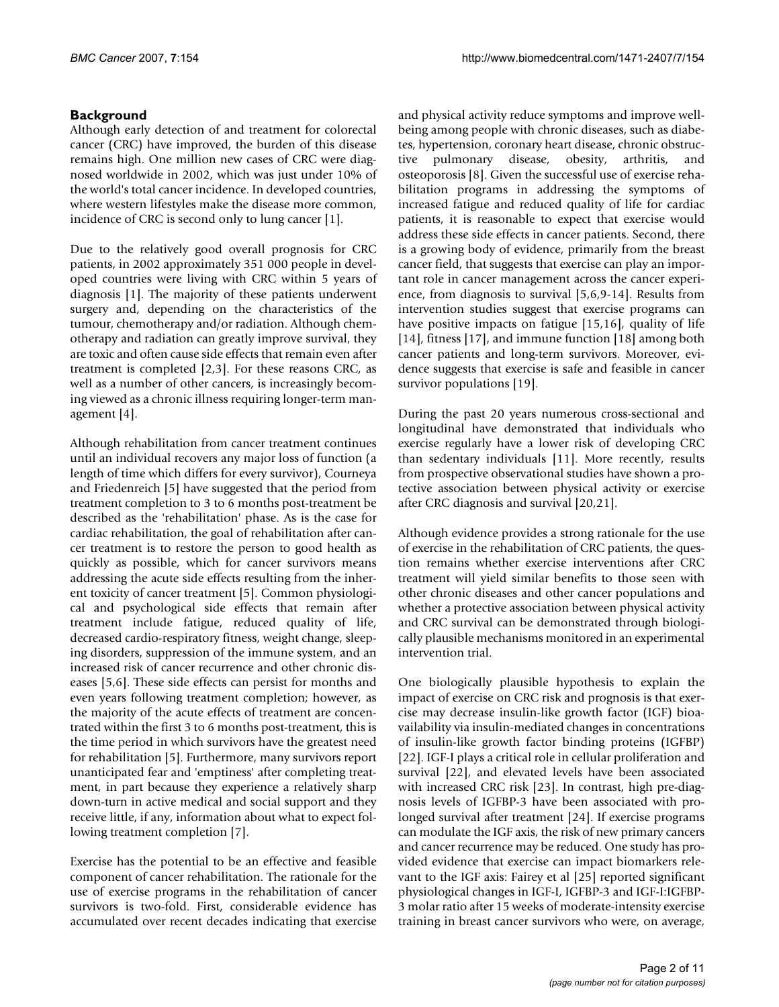# **Background**

Although early detection of and treatment for colorectal cancer (CRC) have improved, the burden of this disease remains high. One million new cases of CRC were diagnosed worldwide in 2002, which was just under 10% of the world's total cancer incidence. In developed countries, where western lifestyles make the disease more common, incidence of CRC is second only to lung cancer [1].

Due to the relatively good overall prognosis for CRC patients, in 2002 approximately 351 000 people in developed countries were living with CRC within 5 years of diagnosis [1]. The majority of these patients underwent surgery and, depending on the characteristics of the tumour, chemotherapy and/or radiation. Although chemotherapy and radiation can greatly improve survival, they are toxic and often cause side effects that remain even after treatment is completed [2,3]. For these reasons CRC, as well as a number of other cancers, is increasingly becoming viewed as a chronic illness requiring longer-term management [4].

Although rehabilitation from cancer treatment continues until an individual recovers any major loss of function (a length of time which differs for every survivor), Courneya and Friedenreich [5] have suggested that the period from treatment completion to 3 to 6 months post-treatment be described as the 'rehabilitation' phase. As is the case for cardiac rehabilitation, the goal of rehabilitation after cancer treatment is to restore the person to good health as quickly as possible, which for cancer survivors means addressing the acute side effects resulting from the inherent toxicity of cancer treatment [5]. Common physiological and psychological side effects that remain after treatment include fatigue, reduced quality of life, decreased cardio-respiratory fitness, weight change, sleeping disorders, suppression of the immune system, and an increased risk of cancer recurrence and other chronic diseases [5,6]. These side effects can persist for months and even years following treatment completion; however, as the majority of the acute effects of treatment are concentrated within the first 3 to 6 months post-treatment, this is the time period in which survivors have the greatest need for rehabilitation [5]. Furthermore, many survivors report unanticipated fear and 'emptiness' after completing treatment, in part because they experience a relatively sharp down-turn in active medical and social support and they receive little, if any, information about what to expect following treatment completion [7].

Exercise has the potential to be an effective and feasible component of cancer rehabilitation. The rationale for the use of exercise programs in the rehabilitation of cancer survivors is two-fold. First, considerable evidence has accumulated over recent decades indicating that exercise and physical activity reduce symptoms and improve wellbeing among people with chronic diseases, such as diabetes, hypertension, coronary heart disease, chronic obstructive pulmonary disease, obesity, arthritis, and osteoporosis [8]. Given the successful use of exercise rehabilitation programs in addressing the symptoms of increased fatigue and reduced quality of life for cardiac patients, it is reasonable to expect that exercise would address these side effects in cancer patients. Second, there is a growing body of evidence, primarily from the breast cancer field, that suggests that exercise can play an important role in cancer management across the cancer experience, from diagnosis to survival [5,6,9-14]. Results from intervention studies suggest that exercise programs can have positive impacts on fatigue [15,16], quality of life [14], fitness [17], and immune function [18] among both cancer patients and long-term survivors. Moreover, evidence suggests that exercise is safe and feasible in cancer survivor populations [19].

During the past 20 years numerous cross-sectional and longitudinal have demonstrated that individuals who exercise regularly have a lower risk of developing CRC than sedentary individuals [11]. More recently, results from prospective observational studies have shown a protective association between physical activity or exercise after CRC diagnosis and survival [20,21].

Although evidence provides a strong rationale for the use of exercise in the rehabilitation of CRC patients, the question remains whether exercise interventions after CRC treatment will yield similar benefits to those seen with other chronic diseases and other cancer populations and whether a protective association between physical activity and CRC survival can be demonstrated through biologically plausible mechanisms monitored in an experimental intervention trial.

One biologically plausible hypothesis to explain the impact of exercise on CRC risk and prognosis is that exercise may decrease insulin-like growth factor (IGF) bioavailability via insulin-mediated changes in concentrations of insulin-like growth factor binding proteins (IGFBP) [22]. IGF-I plays a critical role in cellular proliferation and survival [22], and elevated levels have been associated with increased CRC risk [23]. In contrast, high pre-diagnosis levels of IGFBP-3 have been associated with prolonged survival after treatment [24]. If exercise programs can modulate the IGF axis, the risk of new primary cancers and cancer recurrence may be reduced. One study has provided evidence that exercise can impact biomarkers relevant to the IGF axis: Fairey et al [25] reported significant physiological changes in IGF-I, IGFBP-3 and IGF-I:IGFBP-3 molar ratio after 15 weeks of moderate-intensity exercise training in breast cancer survivors who were, on average,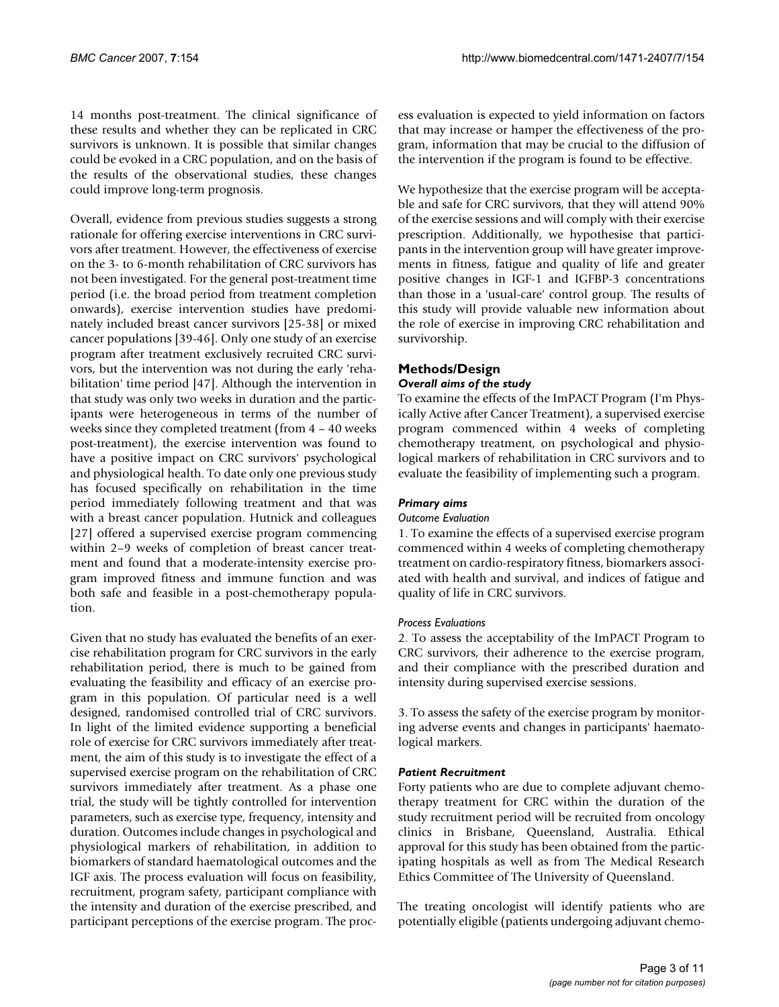14 months post-treatment. The clinical significance of these results and whether they can be replicated in CRC survivors is unknown. It is possible that similar changes could be evoked in a CRC population, and on the basis of the results of the observational studies, these changes could improve long-term prognosis.

Overall, evidence from previous studies suggests a strong rationale for offering exercise interventions in CRC survivors after treatment. However, the effectiveness of exercise on the 3- to 6-month rehabilitation of CRC survivors has not been investigated. For the general post-treatment time period (i.e. the broad period from treatment completion onwards), exercise intervention studies have predominately included breast cancer survivors [25-38] or mixed cancer populations [39-46]. Only one study of an exercise program after treatment exclusively recruited CRC survivors, but the intervention was not during the early 'rehabilitation' time period [47]. Although the intervention in that study was only two weeks in duration and the participants were heterogeneous in terms of the number of weeks since they completed treatment (from 4 – 40 weeks post-treatment), the exercise intervention was found to have a positive impact on CRC survivors' psychological and physiological health. To date only one previous study has focused specifically on rehabilitation in the time period immediately following treatment and that was with a breast cancer population. Hutnick and colleagues [27] offered a supervised exercise program commencing within 2–9 weeks of completion of breast cancer treatment and found that a moderate-intensity exercise program improved fitness and immune function and was both safe and feasible in a post-chemotherapy population.

Given that no study has evaluated the benefits of an exercise rehabilitation program for CRC survivors in the early rehabilitation period, there is much to be gained from evaluating the feasibility and efficacy of an exercise program in this population. Of particular need is a well designed, randomised controlled trial of CRC survivors. In light of the limited evidence supporting a beneficial role of exercise for CRC survivors immediately after treatment, the aim of this study is to investigate the effect of a supervised exercise program on the rehabilitation of CRC survivors immediately after treatment. As a phase one trial, the study will be tightly controlled for intervention parameters, such as exercise type, frequency, intensity and duration. Outcomes include changes in psychological and physiological markers of rehabilitation, in addition to biomarkers of standard haematological outcomes and the IGF axis. The process evaluation will focus on feasibility, recruitment, program safety, participant compliance with the intensity and duration of the exercise prescribed, and participant perceptions of the exercise program. The process evaluation is expected to yield information on factors that may increase or hamper the effectiveness of the program, information that may be crucial to the diffusion of the intervention if the program is found to be effective.

We hypothesize that the exercise program will be acceptable and safe for CRC survivors, that they will attend 90% of the exercise sessions and will comply with their exercise prescription. Additionally, we hypothesise that participants in the intervention group will have greater improvements in fitness, fatigue and quality of life and greater positive changes in IGF-1 and IGFBP-3 concentrations than those in a 'usual-care' control group. The results of this study will provide valuable new information about the role of exercise in improving CRC rehabilitation and survivorship.

# **Methods/Design**

# *Overall aims of the study*

To examine the effects of the ImPACT Program (I'm Physically Active after Cancer Treatment), a supervised exercise program commenced within 4 weeks of completing chemotherapy treatment, on psychological and physiological markers of rehabilitation in CRC survivors and to evaluate the feasibility of implementing such a program.

# *Primary aims*

#### *Outcome Evaluation*

1. To examine the effects of a supervised exercise program commenced within 4 weeks of completing chemotherapy treatment on cardio-respiratory fitness, biomarkers associated with health and survival, and indices of fatigue and quality of life in CRC survivors.

# *Process Evaluations*

2. To assess the acceptability of the ImPACT Program to CRC survivors, their adherence to the exercise program, and their compliance with the prescribed duration and intensity during supervised exercise sessions.

3. To assess the safety of the exercise program by monitoring adverse events and changes in participants' haematological markers.

# *Patient Recruitment*

Forty patients who are due to complete adjuvant chemotherapy treatment for CRC within the duration of the study recruitment period will be recruited from oncology clinics in Brisbane, Queensland, Australia. Ethical approval for this study has been obtained from the participating hospitals as well as from The Medical Research Ethics Committee of The University of Queensland.

The treating oncologist will identify patients who are potentially eligible (patients undergoing adjuvant chemo-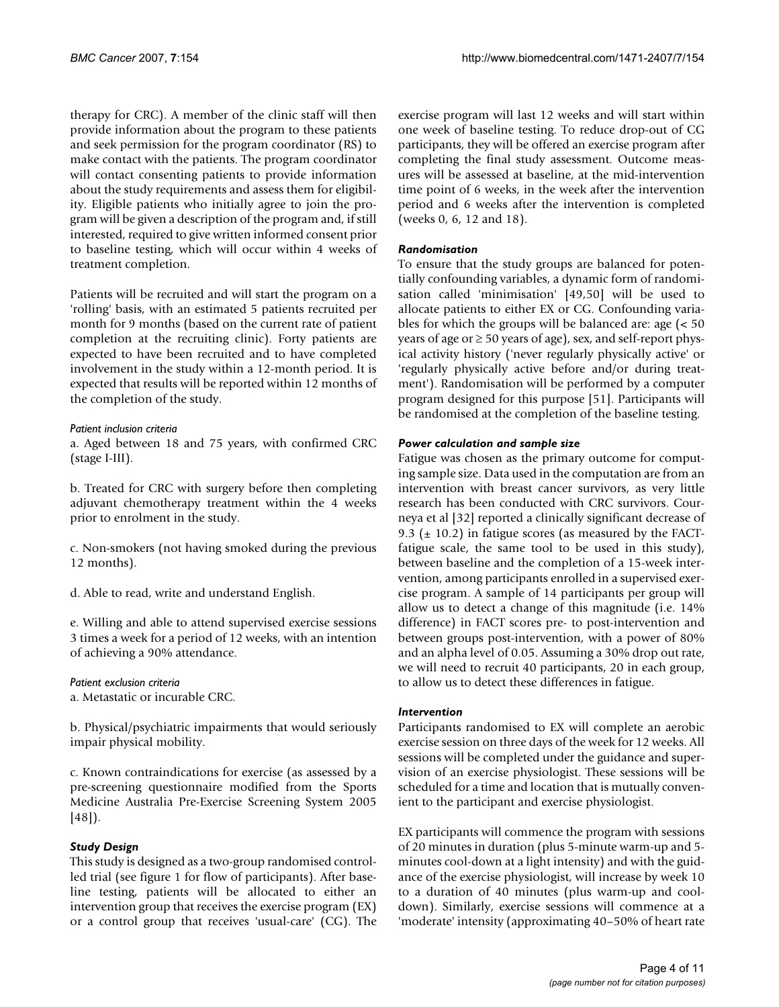therapy for CRC). A member of the clinic staff will then provide information about the program to these patients and seek permission for the program coordinator (RS) to make contact with the patients. The program coordinator will contact consenting patients to provide information about the study requirements and assess them for eligibility. Eligible patients who initially agree to join the program will be given a description of the program and, if still interested, required to give written informed consent prior to baseline testing, which will occur within 4 weeks of treatment completion.

Patients will be recruited and will start the program on a 'rolling' basis, with an estimated 5 patients recruited per month for 9 months (based on the current rate of patient completion at the recruiting clinic). Forty patients are expected to have been recruited and to have completed involvement in the study within a 12-month period. It is expected that results will be reported within 12 months of the completion of the study.

# *Patient inclusion criteria*

a. Aged between 18 and 75 years, with confirmed CRC (stage I-III).

b. Treated for CRC with surgery before then completing adjuvant chemotherapy treatment within the 4 weeks prior to enrolment in the study.

c. Non-smokers (not having smoked during the previous 12 months).

d. Able to read, write and understand English.

e. Willing and able to attend supervised exercise sessions 3 times a week for a period of 12 weeks, with an intention of achieving a 90% attendance.

*Patient exclusion criteria* a. Metastatic or incurable CRC.

b. Physical/psychiatric impairments that would seriously impair physical mobility.

c. Known contraindications for exercise (as assessed by a pre-screening questionnaire modified from the Sports Medicine Australia Pre-Exercise Screening System 2005 [48]).

# *Study Design*

This study is designed as a two-group randomised controlled trial (see figure 1 for flow of participants). After baseline testing, patients will be allocated to either an intervention group that receives the exercise program (EX) or a control group that receives 'usual-care' (CG). The exercise program will last 12 weeks and will start within one week of baseline testing. To reduce drop-out of CG participants, they will be offered an exercise program after completing the final study assessment. Outcome measures will be assessed at baseline, at the mid-intervention time point of 6 weeks, in the week after the intervention period and 6 weeks after the intervention is completed (weeks 0, 6, 12 and 18).

# *Randomisation*

To ensure that the study groups are balanced for potentially confounding variables, a dynamic form of randomisation called 'minimisation' [49,50] will be used to allocate patients to either EX or CG. Confounding variables for which the groups will be balanced are: age (< 50 years of age or  $\geq 50$  years of age), sex, and self-report physical activity history ('never regularly physically active' or 'regularly physically active before and/or during treatment'). Randomisation will be performed by a computer program designed for this purpose [51]. Participants will be randomised at the completion of the baseline testing.

# *Power calculation and sample size*

Fatigue was chosen as the primary outcome for computing sample size. Data used in the computation are from an intervention with breast cancer survivors, as very little research has been conducted with CRC survivors. Courneya et al [32] reported a clinically significant decrease of 9.3 ( $\pm$  10.2) in fatigue scores (as measured by the FACTfatigue scale, the same tool to be used in this study), between baseline and the completion of a 15-week intervention, among participants enrolled in a supervised exercise program. A sample of 14 participants per group will allow us to detect a change of this magnitude (i.e. 14% difference) in FACT scores pre- to post-intervention and between groups post-intervention, with a power of 80% and an alpha level of 0.05. Assuming a 30% drop out rate, we will need to recruit 40 participants, 20 in each group, to allow us to detect these differences in fatigue.

# *Intervention*

Participants randomised to EX will complete an aerobic exercise session on three days of the week for 12 weeks. All sessions will be completed under the guidance and supervision of an exercise physiologist. These sessions will be scheduled for a time and location that is mutually convenient to the participant and exercise physiologist.

EX participants will commence the program with sessions of 20 minutes in duration (plus 5-minute warm-up and 5 minutes cool-down at a light intensity) and with the guidance of the exercise physiologist, will increase by week 10 to a duration of 40 minutes (plus warm-up and cooldown). Similarly, exercise sessions will commence at a 'moderate' intensity (approximating 40–50% of heart rate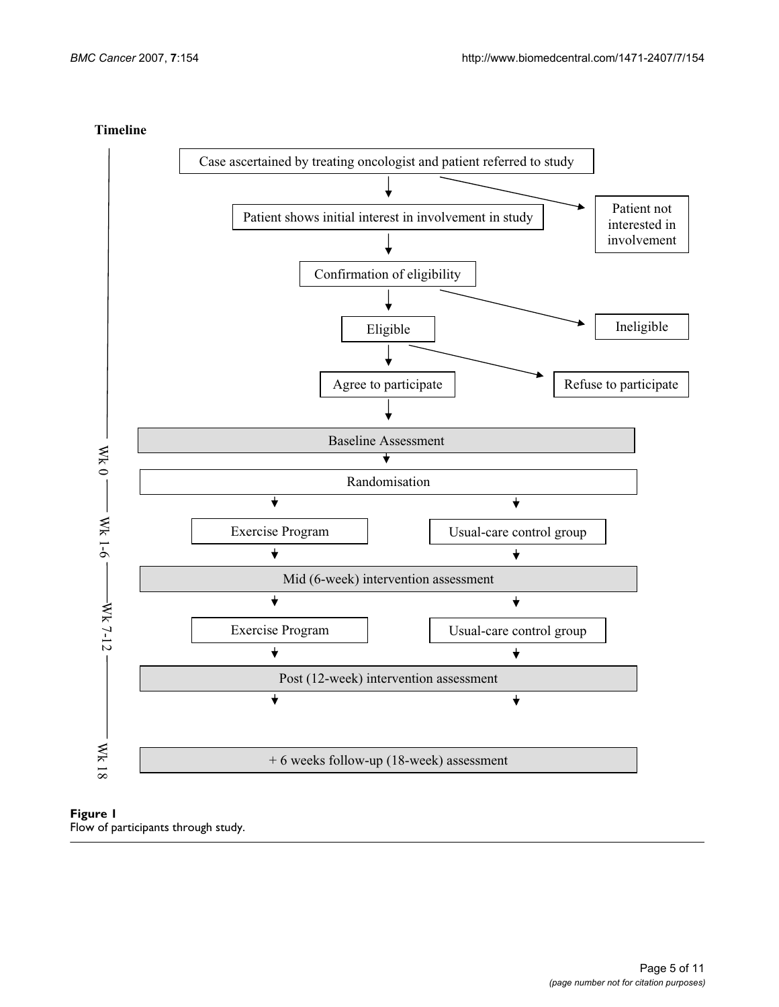# **Timeline**



#### Figure 1 Flow of participants through study.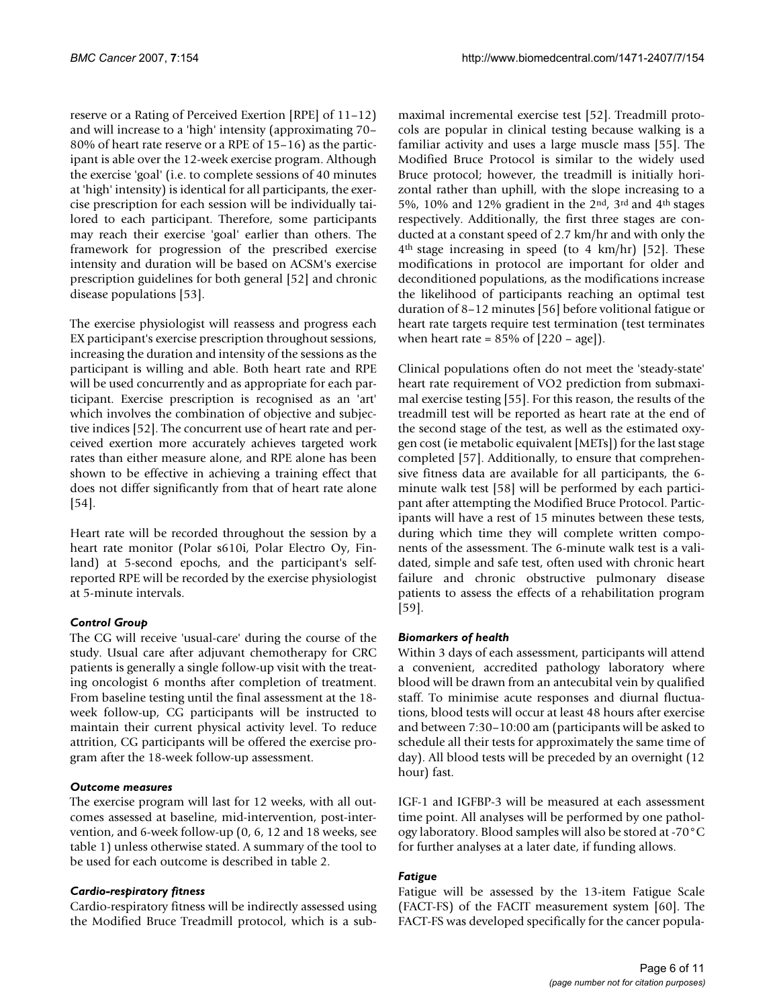reserve or a Rating of Perceived Exertion [RPE] of 11–12) and will increase to a 'high' intensity (approximating 70– 80% of heart rate reserve or a RPE of 15–16) as the participant is able over the 12-week exercise program. Although the exercise 'goal' (i.e. to complete sessions of 40 minutes at 'high' intensity) is identical for all participants, the exercise prescription for each session will be individually tailored to each participant. Therefore, some participants may reach their exercise 'goal' earlier than others. The framework for progression of the prescribed exercise intensity and duration will be based on ACSM's exercise prescription guidelines for both general [52] and chronic disease populations [53].

The exercise physiologist will reassess and progress each EX participant's exercise prescription throughout sessions, increasing the duration and intensity of the sessions as the participant is willing and able. Both heart rate and RPE will be used concurrently and as appropriate for each participant. Exercise prescription is recognised as an 'art' which involves the combination of objective and subjective indices [52]. The concurrent use of heart rate and perceived exertion more accurately achieves targeted work rates than either measure alone, and RPE alone has been shown to be effective in achieving a training effect that does not differ significantly from that of heart rate alone [54].

Heart rate will be recorded throughout the session by a heart rate monitor (Polar s610i, Polar Electro Oy, Finland) at 5-second epochs, and the participant's selfreported RPE will be recorded by the exercise physiologist at 5-minute intervals.

# *Control Group*

The CG will receive 'usual-care' during the course of the study. Usual care after adjuvant chemotherapy for CRC patients is generally a single follow-up visit with the treating oncologist 6 months after completion of treatment. From baseline testing until the final assessment at the 18 week follow-up, CG participants will be instructed to maintain their current physical activity level. To reduce attrition, CG participants will be offered the exercise program after the 18-week follow-up assessment.

# *Outcome measures*

The exercise program will last for 12 weeks, with all outcomes assessed at baseline, mid-intervention, post-intervention, and 6-week follow-up (0, 6, 12 and 18 weeks, see table 1) unless otherwise stated. A summary of the tool to be used for each outcome is described in table 2.

# *Cardio-respiratory fitness*

Cardio-respiratory fitness will be indirectly assessed using the Modified Bruce Treadmill protocol, which is a submaximal incremental exercise test [52]. Treadmill protocols are popular in clinical testing because walking is a familiar activity and uses a large muscle mass [55]. The Modified Bruce Protocol is similar to the widely used Bruce protocol; however, the treadmill is initially horizontal rather than uphill, with the slope increasing to a 5%, 10% and 12% gradient in the 2nd, 3rd and 4th stages respectively. Additionally, the first three stages are conducted at a constant speed of 2.7 km/hr and with only the  $4<sup>th</sup>$  stage increasing in speed (to 4 km/hr) [52]. These modifications in protocol are important for older and deconditioned populations, as the modifications increase the likelihood of participants reaching an optimal test duration of 8–12 minutes [56] before volitional fatigue or heart rate targets require test termination (test terminates when heart rate =  $85\%$  of  $[220 - age]$ .

Clinical populations often do not meet the 'steady-state' heart rate requirement of VO2 prediction from submaximal exercise testing [55]. For this reason, the results of the treadmill test will be reported as heart rate at the end of the second stage of the test, as well as the estimated oxygen cost (ie metabolic equivalent [METs]) for the last stage completed [57]. Additionally, to ensure that comprehensive fitness data are available for all participants, the 6 minute walk test [58] will be performed by each participant after attempting the Modified Bruce Protocol. Participants will have a rest of 15 minutes between these tests, during which time they will complete written components of the assessment. The 6-minute walk test is a validated, simple and safe test, often used with chronic heart failure and chronic obstructive pulmonary disease patients to assess the effects of a rehabilitation program [59].

# *Biomarkers of health*

Within 3 days of each assessment, participants will attend a convenient, accredited pathology laboratory where blood will be drawn from an antecubital vein by qualified staff. To minimise acute responses and diurnal fluctuations, blood tests will occur at least 48 hours after exercise and between 7:30–10:00 am (participants will be asked to schedule all their tests for approximately the same time of day). All blood tests will be preceded by an overnight (12 hour) fast.

IGF-1 and IGFBP-3 will be measured at each assessment time point. All analyses will be performed by one pathology laboratory. Blood samples will also be stored at -70°C for further analyses at a later date, if funding allows.

# *Fatigue*

Fatigue will be assessed by the 13-item Fatigue Scale (FACT-FS) of the FACIT measurement system [60]. The FACT-FS was developed specifically for the cancer popula-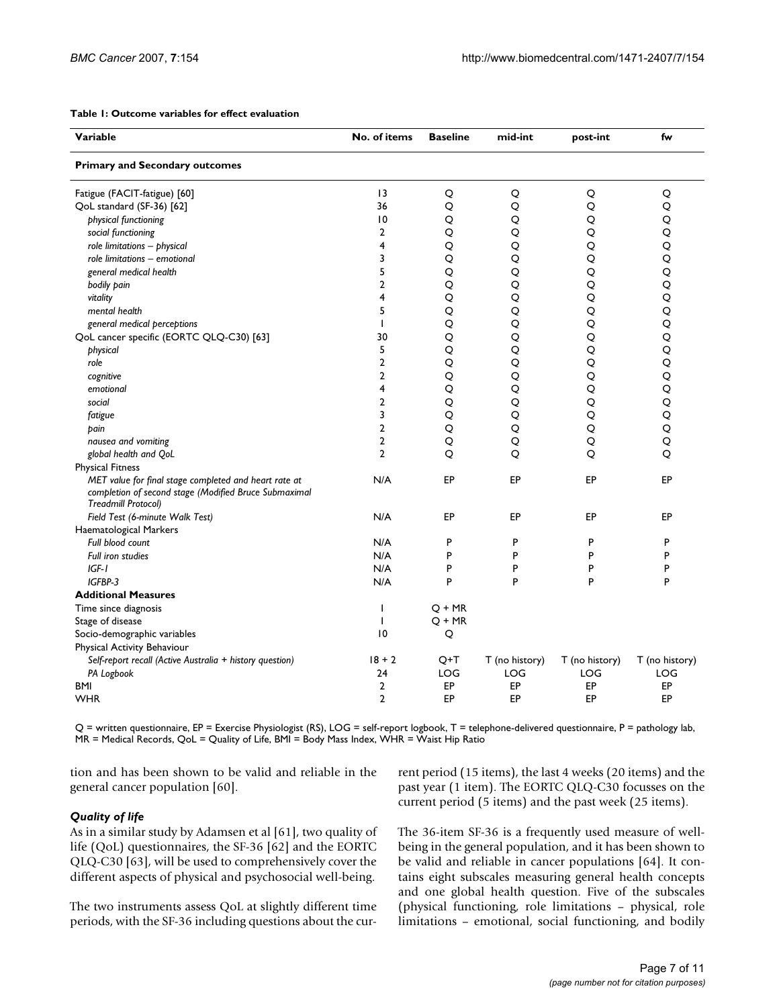| Variable                                                                                                                                     | No. of items    | <b>Baseline</b> | mid-int        | post-int       | fw             |
|----------------------------------------------------------------------------------------------------------------------------------------------|-----------------|-----------------|----------------|----------------|----------------|
| <b>Primary and Secondary outcomes</b>                                                                                                        |                 |                 |                |                |                |
| Fatigue (FACIT-fatigue) [60]                                                                                                                 | $\overline{13}$ | $\mathsf Q$     | Q              | Q              | Q              |
| QoL standard (SF-36) [62]                                                                                                                    | 36              | Q               | Q              | $\mathsf Q$    | Q              |
| physical functioning                                                                                                                         | 10              | Q               | Q              | Q              | Q              |
| social functioning                                                                                                                           | $\overline{2}$  | Q               | Q              | Q              | Q              |
| role limitations - physical                                                                                                                  | $\overline{4}$  | Q               | Q              | Q              | Q              |
| role limitations - emotional                                                                                                                 | 3               | Q               | Q              | Q              | Q              |
| general medical health                                                                                                                       | 5               | Q               | Q              | Q              | Q              |
| bodily pain                                                                                                                                  | $\overline{2}$  | Q               | Q              | Q              | Q              |
| vitality                                                                                                                                     | $\overline{4}$  | Q               | Q              | Q              | Q              |
| mental health                                                                                                                                | 5               | Q               | Q              | Q              | Q              |
| general medical perceptions                                                                                                                  | J.              | Q               | Q              | Q              | Q              |
| QoL cancer specific (EORTC QLQ-C30) [63]                                                                                                     | 30              | Q               | Q              | $\mathsf Q$    | Q              |
| physical                                                                                                                                     | 5               | Q               | Q              | $\mathsf Q$    | Q              |
| role                                                                                                                                         | $\overline{2}$  | Q               | Q              | Q              | Q              |
| cognitive                                                                                                                                    | $\overline{2}$  | Q               | Q              | Q              | Q              |
| emotional                                                                                                                                    | $\overline{4}$  | Q               | Q              | Q              | Q              |
| social                                                                                                                                       | $\overline{2}$  | Q               | Q              | Q              | Q              |
| fatigue                                                                                                                                      | 3               | Q               | Q              | Q              | Q              |
| pain                                                                                                                                         | $\overline{2}$  | Q               | Q              | $\mathsf Q$    | Q              |
| nausea and vomiting                                                                                                                          | $\overline{2}$  | Q               | Q              | Q              | $\mathsf Q$    |
| global health and QoL                                                                                                                        | $\overline{2}$  | $\circ$         | $\circ$        | Q              | $\circ$        |
| <b>Physical Fitness</b>                                                                                                                      |                 |                 |                |                |                |
| MET value for final stage completed and heart rate at<br>completion of second stage (Modified Bruce Submaximal<br><b>Treadmill Protocol)</b> | N/A             | EP              | EP             | EP             | EP             |
| Field Test (6-minute Walk Test)                                                                                                              | N/A             | EP              | EP             | EP             | EP             |
| Haematological Markers                                                                                                                       |                 |                 |                |                |                |
| Full blood count                                                                                                                             | N/A             | P               | P              | P              | P              |
| Full iron studies                                                                                                                            | N/A             | P               | P              | P              | P              |
| $IGF-I$                                                                                                                                      | N/A             | P               | P              | P              | P              |
| IGFBP-3                                                                                                                                      | N/A             | P               | P              | P              | P              |
| <b>Additional Measures</b>                                                                                                                   |                 |                 |                |                |                |
| Time since diagnosis                                                                                                                         | $\mathbf{I}$    | $Q + MR$        |                |                |                |
| Stage of disease                                                                                                                             | I               | $Q + MR$        |                |                |                |
| Socio-demographic variables                                                                                                                  | $\overline{10}$ | Q               |                |                |                |
| Physical Activity Behaviour                                                                                                                  |                 |                 |                |                |                |
| Self-report recall (Active Australia + history question)                                                                                     | $18 + 2$        | O+T             | T (no history) | T (no history) | T (no history) |
| PA Logbook                                                                                                                                   | 24              | LOG             | <b>LOG</b>     | LOG            | LOG            |
| BMI                                                                                                                                          | $\overline{2}$  | EP              | EP             | EP             | EP             |
| <b>WHR</b>                                                                                                                                   | $\overline{2}$  | EP              | EP             | EP             | EP             |

#### **Table 1: Outcome variables for effect evaluation**

Q = written questionnaire, EP = Exercise Physiologist (RS), LOG = self-report logbook, T = telephone-delivered questionnaire, P = pathology lab, MR = Medical Records, QoL = Quality of Life, BMI = Body Mass Index, WHR = Waist Hip Ratio

tion and has been shown to be valid and reliable in the general cancer population [60].

# *Quality of life*

As in a similar study by Adamsen et al [61], two quality of life (QoL) questionnaires, the SF-36 [62] and the EORTC QLQ-C30 [63], will be used to comprehensively cover the different aspects of physical and psychosocial well-being.

The two instruments assess QoL at slightly different time periods, with the SF-36 including questions about the current period (15 items), the last 4 weeks (20 items) and the past year (1 item). The EORTC QLQ-C30 focusses on the current period (5 items) and the past week (25 items).

The 36-item SF-36 is a frequently used measure of wellbeing in the general population, and it has been shown to be valid and reliable in cancer populations [64]. It contains eight subscales measuring general health concepts and one global health question. Five of the subscales (physical functioning, role limitations – physical, role limitations – emotional, social functioning, and bodily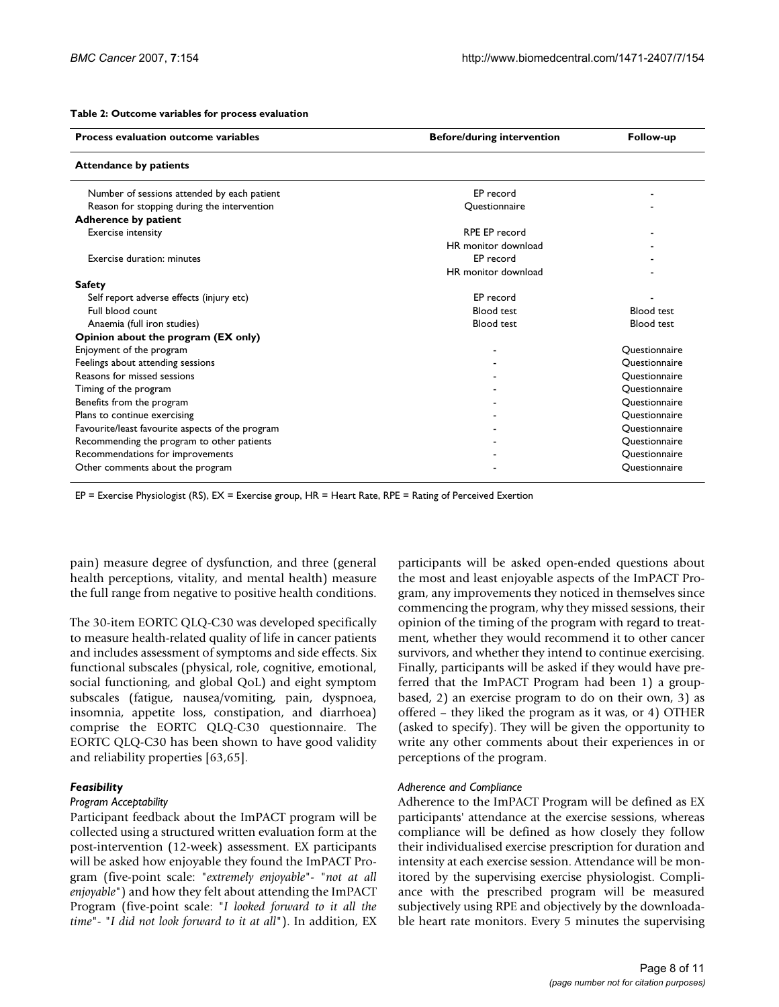**Table 2: Outcome variables for process evaluation**

| <b>Process evaluation outcome variables</b>      | <b>Before/during intervention</b> | Follow-up            |  |
|--------------------------------------------------|-----------------------------------|----------------------|--|
| <b>Attendance by patients</b>                    |                                   |                      |  |
| Number of sessions attended by each patient      | EP record                         |                      |  |
| Reason for stopping during the intervention      | Questionnaire                     |                      |  |
| <b>Adherence by patient</b>                      |                                   |                      |  |
| <b>Exercise intensity</b>                        | <b>RPF FP record</b>              |                      |  |
|                                                  | HR monitor download               |                      |  |
| Exercise duration: minutes                       | EP record                         |                      |  |
|                                                  | HR monitor download               |                      |  |
| <b>Safety</b>                                    |                                   |                      |  |
| Self report adverse effects (injury etc)         | EP record                         |                      |  |
| Full blood count                                 | <b>Blood</b> test                 | <b>Blood</b> test    |  |
| Anaemia (full iron studies)                      | <b>Blood</b> test                 | <b>Blood</b> test    |  |
| Opinion about the program (EX only)              |                                   |                      |  |
| Enjoyment of the program                         |                                   | Questionnaire        |  |
| Feelings about attending sessions                |                                   | Questionnaire        |  |
| Reasons for missed sessions                      |                                   | <b>Ouestionnaire</b> |  |
| Timing of the program                            |                                   | Questionnaire        |  |
| Benefits from the program                        |                                   | Ouestionnaire        |  |
| Plans to continue exercising                     |                                   | Questionnaire        |  |
| Favourite/least favourite aspects of the program |                                   | Questionnaire        |  |
| Recommending the program to other patients       |                                   | Questionnaire        |  |
| Recommendations for improvements                 |                                   | Questionnaire        |  |
| Other comments about the program                 |                                   | Questionnaire        |  |

EP = Exercise Physiologist (RS), EX = Exercise group, HR = Heart Rate, RPE = Rating of Perceived Exertion

pain) measure degree of dysfunction, and three (general health perceptions, vitality, and mental health) measure the full range from negative to positive health conditions.

The 30-item EORTC QLQ-C30 was developed specifically to measure health-related quality of life in cancer patients and includes assessment of symptoms and side effects. Six functional subscales (physical, role, cognitive, emotional, social functioning, and global QoL) and eight symptom subscales (fatigue, nausea/vomiting, pain, dyspnoea, insomnia, appetite loss, constipation, and diarrhoea) comprise the EORTC QLQ-C30 questionnaire. The EORTC QLQ-C30 has been shown to have good validity and reliability properties [63,65].

# *Feasibility*

#### *Program Acceptability*

Participant feedback about the ImPACT program will be collected using a structured written evaluation form at the post-intervention (12-week) assessment. EX participants will be asked how enjoyable they found the ImPACT Program (five-point scale: "*extremely enjoyable*"- "*not at all enjoyable*") and how they felt about attending the ImPACT Program (five-point scale: "*I looked forward to it all the time*"- "*I did not look forward to it at all*"). In addition, EX participants will be asked open-ended questions about the most and least enjoyable aspects of the ImPACT Program, any improvements they noticed in themselves since commencing the program, why they missed sessions, their opinion of the timing of the program with regard to treatment, whether they would recommend it to other cancer survivors, and whether they intend to continue exercising. Finally, participants will be asked if they would have preferred that the ImPACT Program had been 1) a groupbased, 2) an exercise program to do on their own, 3) as offered – they liked the program as it was, or 4) OTHER (asked to specify). They will be given the opportunity to write any other comments about their experiences in or perceptions of the program.

# *Adherence and Compliance*

Adherence to the ImPACT Program will be defined as EX participants' attendance at the exercise sessions, whereas compliance will be defined as how closely they follow their individualised exercise prescription for duration and intensity at each exercise session. Attendance will be monitored by the supervising exercise physiologist. Compliance with the prescribed program will be measured subjectively using RPE and objectively by the downloadable heart rate monitors. Every 5 minutes the supervising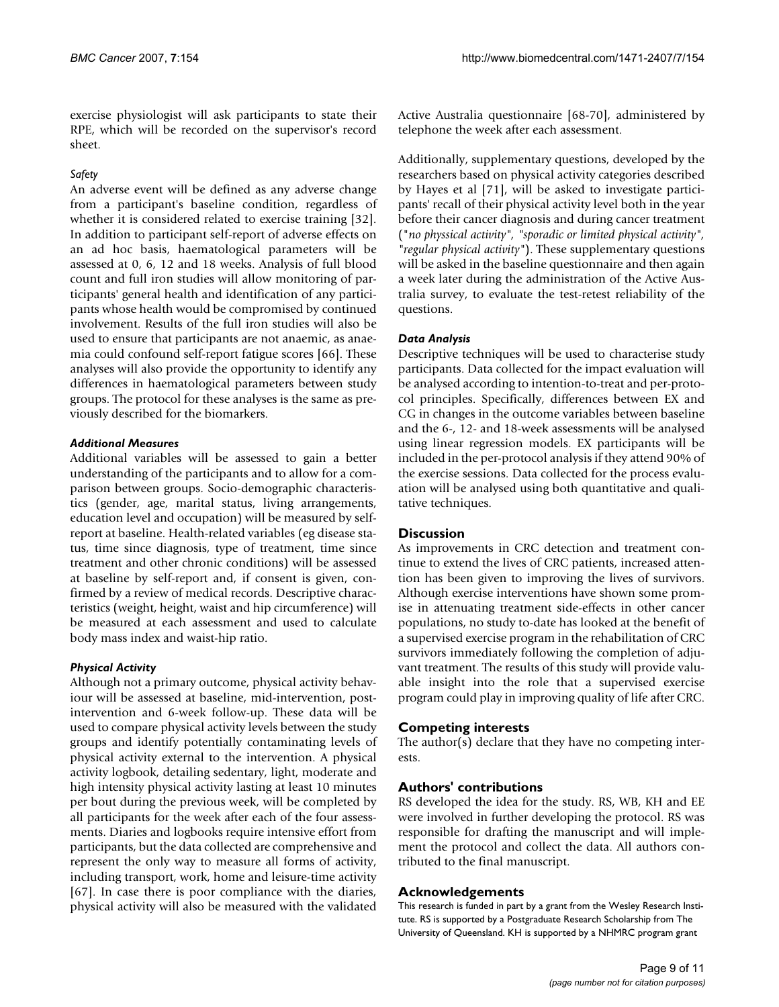exercise physiologist will ask participants to state their RPE, which will be recorded on the supervisor's record sheet.

# *Safety*

An adverse event will be defined as any adverse change from a participant's baseline condition, regardless of whether it is considered related to exercise training [32]. In addition to participant self-report of adverse effects on an ad hoc basis, haematological parameters will be assessed at 0, 6, 12 and 18 weeks. Analysis of full blood count and full iron studies will allow monitoring of participants' general health and identification of any participants whose health would be compromised by continued involvement. Results of the full iron studies will also be used to ensure that participants are not anaemic, as anaemia could confound self-report fatigue scores [66]. These analyses will also provide the opportunity to identify any differences in haematological parameters between study groups. The protocol for these analyses is the same as previously described for the biomarkers.

# *Additional Measures*

Additional variables will be assessed to gain a better understanding of the participants and to allow for a comparison between groups. Socio-demographic characteristics (gender, age, marital status, living arrangements, education level and occupation) will be measured by selfreport at baseline. Health-related variables (eg disease status, time since diagnosis, type of treatment, time since treatment and other chronic conditions) will be assessed at baseline by self-report and, if consent is given, confirmed by a review of medical records. Descriptive characteristics (weight, height, waist and hip circumference) will be measured at each assessment and used to calculate body mass index and waist-hip ratio.

# *Physical Activity*

Although not a primary outcome, physical activity behaviour will be assessed at baseline, mid-intervention, postintervention and 6-week follow-up. These data will be used to compare physical activity levels between the study groups and identify potentially contaminating levels of physical activity external to the intervention. A physical activity logbook, detailing sedentary, light, moderate and high intensity physical activity lasting at least 10 minutes per bout during the previous week, will be completed by all participants for the week after each of the four assessments. Diaries and logbooks require intensive effort from participants, but the data collected are comprehensive and represent the only way to measure all forms of activity, including transport, work, home and leisure-time activity [67]. In case there is poor compliance with the diaries, physical activity will also be measured with the validated Active Australia questionnaire [68-70], administered by telephone the week after each assessment.

Additionally, supplementary questions, developed by the researchers based on physical activity categories described by Hayes et al [71], will be asked to investigate participants' recall of their physical activity level both in the year before their cancer diagnosis and during cancer treatment ("*no physsical activity", "sporadic or limited physical activity", "regular physical activity"*). These supplementary questions will be asked in the baseline questionnaire and then again a week later during the administration of the Active Australia survey, to evaluate the test-retest reliability of the questions.

# *Data Analysis*

Descriptive techniques will be used to characterise study participants. Data collected for the impact evaluation will be analysed according to intention-to-treat and per-protocol principles. Specifically, differences between EX and CG in changes in the outcome variables between baseline and the 6-, 12- and 18-week assessments will be analysed using linear regression models. EX participants will be included in the per-protocol analysis if they attend 90% of the exercise sessions. Data collected for the process evaluation will be analysed using both quantitative and qualitative techniques.

# **Discussion**

As improvements in CRC detection and treatment continue to extend the lives of CRC patients, increased attention has been given to improving the lives of survivors. Although exercise interventions have shown some promise in attenuating treatment side-effects in other cancer populations, no study to-date has looked at the benefit of a supervised exercise program in the rehabilitation of CRC survivors immediately following the completion of adjuvant treatment. The results of this study will provide valuable insight into the role that a supervised exercise program could play in improving quality of life after CRC.

# **Competing interests**

The author(s) declare that they have no competing interests.

# **Authors' contributions**

RS developed the idea for the study. RS, WB, KH and EE were involved in further developing the protocol. RS was responsible for drafting the manuscript and will implement the protocol and collect the data. All authors contributed to the final manuscript.

# **Acknowledgements**

This research is funded in part by a grant from the Wesley Research Institute. RS is supported by a Postgraduate Research Scholarship from The University of Queensland. KH is supported by a NHMRC program grant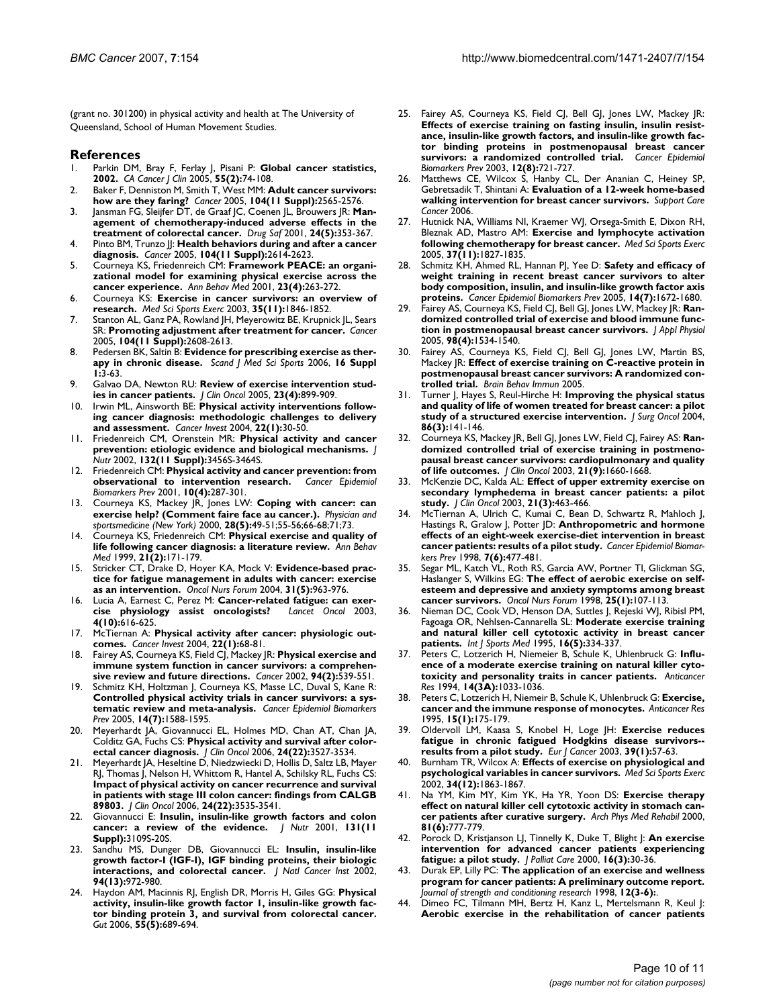(grant no. 301200) in physical activity and health at The University of Queensland, School of Human Movement Studies.

#### **References**

- 1. Parkin DM, Bray F, Ferlay J, Pisani P: **[Global cancer statistics,](http://www.ncbi.nlm.nih.gov/entrez/query.fcgi?cmd=Retrieve&db=PubMed&dopt=Abstract&list_uids=15761078) [2002.](http://www.ncbi.nlm.nih.gov/entrez/query.fcgi?cmd=Retrieve&db=PubMed&dopt=Abstract&list_uids=15761078)** *CA Cancer J Clin* 2005, **55(2):**74-108.
- 2. Baker F, Denniston M, Smith T, West MM: **[Adult cancer survivors:](http://www.ncbi.nlm.nih.gov/entrez/query.fcgi?cmd=Retrieve&db=PubMed&dopt=Abstract&list_uids=16258929) [how are they faring?](http://www.ncbi.nlm.nih.gov/entrez/query.fcgi?cmd=Retrieve&db=PubMed&dopt=Abstract&list_uids=16258929)** *Cancer* 2005, **104(11 Suppl):**2565-2576.
- 3. Jansman FG, Sleijfer DT, de Graaf JC, Coenen JL, Brouwers JR: **[Man](http://www.ncbi.nlm.nih.gov/entrez/query.fcgi?cmd=Retrieve&db=PubMed&dopt=Abstract&list_uids=11419562)[agement of chemotherapy-induced adverse effects in the](http://www.ncbi.nlm.nih.gov/entrez/query.fcgi?cmd=Retrieve&db=PubMed&dopt=Abstract&list_uids=11419562) [treatment of colorectal cancer.](http://www.ncbi.nlm.nih.gov/entrez/query.fcgi?cmd=Retrieve&db=PubMed&dopt=Abstract&list_uids=11419562)** *Drug Saf* 2001, **24(5):**353-367.
- 4. Pinto BM, Trunzo JJ: **[Health behaviors during and after a cancer](http://www.ncbi.nlm.nih.gov/entrez/query.fcgi?cmd=Retrieve&db=PubMed&dopt=Abstract&list_uids=16247806) [diagnosis.](http://www.ncbi.nlm.nih.gov/entrez/query.fcgi?cmd=Retrieve&db=PubMed&dopt=Abstract&list_uids=16247806)** *Cancer* 2005, **104(11 Suppl):**2614-2623.
- 5. Courneya KS, Friedenreich CM: **[Framework PEACE: an organi](http://www.ncbi.nlm.nih.gov/entrez/query.fcgi?cmd=Retrieve&db=PubMed&dopt=Abstract&list_uids=11761343)[zational model for examining physical exercise across the](http://www.ncbi.nlm.nih.gov/entrez/query.fcgi?cmd=Retrieve&db=PubMed&dopt=Abstract&list_uids=11761343) [cancer experience.](http://www.ncbi.nlm.nih.gov/entrez/query.fcgi?cmd=Retrieve&db=PubMed&dopt=Abstract&list_uids=11761343)** *Ann Behav Med* 2001, **23(4):**263-272.
- 6. Courneya KS: **[Exercise in cancer survivors: an overview of](http://www.ncbi.nlm.nih.gov/entrez/query.fcgi?cmd=Retrieve&db=PubMed&dopt=Abstract&list_uids=14600549) [research.](http://www.ncbi.nlm.nih.gov/entrez/query.fcgi?cmd=Retrieve&db=PubMed&dopt=Abstract&list_uids=14600549)** *Med Sci Sports Exerc* 2003, **35(11):**1846-1852.
- 7. Stanton AL, Ganz PA, Rowland JH, Meyerowitz BE, Krupnick JL, Sears SR: **[Promoting adjustment after treatment for cancer.](http://www.ncbi.nlm.nih.gov/entrez/query.fcgi?cmd=Retrieve&db=PubMed&dopt=Abstract&list_uids=16247779)** *Cancer* 2005, **104(11 Suppl):**2608-2613.
- 8. Pedersen BK, Saltin B: **[Evidence for prescribing exercise as ther](http://www.ncbi.nlm.nih.gov/entrez/query.fcgi?cmd=Retrieve&db=PubMed&dopt=Abstract&list_uids=16451303)[apy in chronic disease.](http://www.ncbi.nlm.nih.gov/entrez/query.fcgi?cmd=Retrieve&db=PubMed&dopt=Abstract&list_uids=16451303)** *Scand J Med Sci Sports* 2006, **16 Suppl 1:**3-63.
- 9. Galvao DA, Newton RU: **[Review of exercise intervention stud](http://www.ncbi.nlm.nih.gov/entrez/query.fcgi?cmd=Retrieve&db=PubMed&dopt=Abstract&list_uids=15681536)[ies in cancer patients.](http://www.ncbi.nlm.nih.gov/entrez/query.fcgi?cmd=Retrieve&db=PubMed&dopt=Abstract&list_uids=15681536)** *J Clin Oncol* 2005, **23(4):**899-909.
- 10. Irwin ML, Ainsworth BE: **[Physical activity interventions follow](http://www.ncbi.nlm.nih.gov/entrez/query.fcgi?cmd=Retrieve&db=PubMed&dopt=Abstract&list_uids=15069762)[ing cancer diagnosis: methodologic challenges to delivery](http://www.ncbi.nlm.nih.gov/entrez/query.fcgi?cmd=Retrieve&db=PubMed&dopt=Abstract&list_uids=15069762) [and assessment.](http://www.ncbi.nlm.nih.gov/entrez/query.fcgi?cmd=Retrieve&db=PubMed&dopt=Abstract&list_uids=15069762)** *Cancer Invest* 2004, **22(1):**30-50.
- 11. Friedenreich CM, Orenstein MR: **[Physical activity and cancer](http://www.ncbi.nlm.nih.gov/entrez/query.fcgi?cmd=Retrieve&db=PubMed&dopt=Abstract&list_uids=12421870) [prevention: etiologic evidence and biological mechanisms.](http://www.ncbi.nlm.nih.gov/entrez/query.fcgi?cmd=Retrieve&db=PubMed&dopt=Abstract&list_uids=12421870)** *J Nutr* 2002, **132(11 Suppl):**3456S-3464S.
- 12. Friedenreich CM: **[Physical activity and cancer prevention: from](http://www.ncbi.nlm.nih.gov/entrez/query.fcgi?cmd=Retrieve&db=PubMed&dopt=Abstract&list_uids=11319168) [observational to intervention research.](http://www.ncbi.nlm.nih.gov/entrez/query.fcgi?cmd=Retrieve&db=PubMed&dopt=Abstract&list_uids=11319168)** *Cancer Epidemiol Biomarkers Prev* 2001, **10(4):**287-301.
- 13. Courneya KS, Mackey JR, Jones LW: **Coping with cancer: can exercise help? (Comment faire face au cancer.).** *Physician and sportsmedicine (New York)* 2000, **28(5):**49-51;55-56;66-68;71;73.
- 14. Courneya KS, Friedenreich CM: **[Physical exercise and quality of](http://www.ncbi.nlm.nih.gov/entrez/query.fcgi?cmd=Retrieve&db=PubMed&dopt=Abstract&list_uids=10499138) [life following cancer diagnosis: a literature review.](http://www.ncbi.nlm.nih.gov/entrez/query.fcgi?cmd=Retrieve&db=PubMed&dopt=Abstract&list_uids=10499138)** *Ann Behav Med* 1999, **21(2):**171-179.
- 15. Stricker CT, Drake D, Hoyer KA, Mock V: **[Evidence-based prac](http://www.ncbi.nlm.nih.gov/entrez/query.fcgi?cmd=Retrieve&db=PubMed&dopt=Abstract&list_uids=15378097)[tice for fatigue management in adults with cancer: exercise](http://www.ncbi.nlm.nih.gov/entrez/query.fcgi?cmd=Retrieve&db=PubMed&dopt=Abstract&list_uids=15378097) [as an intervention.](http://www.ncbi.nlm.nih.gov/entrez/query.fcgi?cmd=Retrieve&db=PubMed&dopt=Abstract&list_uids=15378097)** *Oncol Nurs Forum* 2004, **31(5):**963-976.
- 16. Lucia A, Earnest C, Perez M: **Cancer-related fatigue: can exer-**<br> **cise physiology assist oncologists?** Lancet Oncol 2003,  $cise$  physiology assist oncologists? **4(10):**616-625.
- 17. McTiernan A: **[Physical activity after cancer: physiologic out](http://www.ncbi.nlm.nih.gov/entrez/query.fcgi?cmd=Retrieve&db=PubMed&dopt=Abstract&list_uids=15069764)[comes.](http://www.ncbi.nlm.nih.gov/entrez/query.fcgi?cmd=Retrieve&db=PubMed&dopt=Abstract&list_uids=15069764)** *Cancer Invest* 2004, **22(1):**68-81.
- 18. Fairey AS, Courneya KS, Field CJ, Mackey JR: **[Physical exercise and](http://www.ncbi.nlm.nih.gov/entrez/query.fcgi?cmd=Retrieve&db=PubMed&dopt=Abstract&list_uids=11900239) [immune system function in cancer survivors: a comprehen](http://www.ncbi.nlm.nih.gov/entrez/query.fcgi?cmd=Retrieve&db=PubMed&dopt=Abstract&list_uids=11900239)[sive review and future directions.](http://www.ncbi.nlm.nih.gov/entrez/query.fcgi?cmd=Retrieve&db=PubMed&dopt=Abstract&list_uids=11900239)** *Cancer* 2002, **94(2):**539-551.
- 19. Schmitz KH, Holtzman J, Courneya KS, Masse LC, Duval S, Kane R: **[Controlled physical activity trials in cancer survivors: a sys](http://www.ncbi.nlm.nih.gov/entrez/query.fcgi?cmd=Retrieve&db=PubMed&dopt=Abstract&list_uids=16030088)[tematic review and meta-analysis.](http://www.ncbi.nlm.nih.gov/entrez/query.fcgi?cmd=Retrieve&db=PubMed&dopt=Abstract&list_uids=16030088)** *Cancer Epidemiol Biomarkers Prev* 2005, **14(7):**1588-1595.
- 20. Meyerhardt JA, Giovannucci EL, Holmes MD, Chan AT, Chan JA, Colditz GA, Fuchs CS: **[Physical activity and survival after color](http://www.ncbi.nlm.nih.gov/entrez/query.fcgi?cmd=Retrieve&db=PubMed&dopt=Abstract&list_uids=16822844)[ectal cancer diagnosis.](http://www.ncbi.nlm.nih.gov/entrez/query.fcgi?cmd=Retrieve&db=PubMed&dopt=Abstract&list_uids=16822844)** *J Clin Oncol* 2006, **24(22):**3527-3534.
- 21. Meyerhardt JA, Heseltine D, Niedzwiecki D, Hollis D, Saltz LB, Mayer RJ, Thomas J, Nelson H, Whittom R, Hantel A, Schilsky RL, Fuchs CS: **Impact of physical activity on cancer recurrence and survival [in patients with stage III colon cancer: findings from CALGB](http://www.ncbi.nlm.nih.gov/entrez/query.fcgi?cmd=Retrieve&db=PubMed&dopt=Abstract&list_uids=16822843) [89803.](http://www.ncbi.nlm.nih.gov/entrez/query.fcgi?cmd=Retrieve&db=PubMed&dopt=Abstract&list_uids=16822843)** *J Clin Oncol* 2006, **24(22):**3535-3541.
- 22. Giovannucci E: **[Insulin, insulin-like growth factors and colon](http://www.ncbi.nlm.nih.gov/entrez/query.fcgi?cmd=Retrieve&db=PubMed&dopt=Abstract&list_uids=11694656) [cancer: a review of the evidence.](http://www.ncbi.nlm.nih.gov/entrez/query.fcgi?cmd=Retrieve&db=PubMed&dopt=Abstract&list_uids=11694656)** *J Nutr* 2001, **131(11 Suppl):**3109S-20S.
- 23. Sandhu MS, Dunger DB, Giovannucci EL: **[Insulin, insulin-like](http://www.ncbi.nlm.nih.gov/entrez/query.fcgi?cmd=Retrieve&db=PubMed&dopt=Abstract&list_uids=12096082) [growth factor-I \(IGF-I\), IGF binding proteins, their biologic](http://www.ncbi.nlm.nih.gov/entrez/query.fcgi?cmd=Retrieve&db=PubMed&dopt=Abstract&list_uids=12096082) [interactions, and colorectal cancer.](http://www.ncbi.nlm.nih.gov/entrez/query.fcgi?cmd=Retrieve&db=PubMed&dopt=Abstract&list_uids=12096082)** *J Natl Cancer Inst* 2002, **94(13):**972-980.
- 24. Haydon AM, Macinnis RJ, English DR, Morris H, Giles GG: **[Physical](http://www.ncbi.nlm.nih.gov/entrez/query.fcgi?cmd=Retrieve&db=PubMed&dopt=Abstract&list_uids=16299029) activity, insulin-like growth factor 1, insulin-like growth fac[tor binding protein 3, and survival from colorectal cancer.](http://www.ncbi.nlm.nih.gov/entrez/query.fcgi?cmd=Retrieve&db=PubMed&dopt=Abstract&list_uids=16299029)** *Gut* 2006, **55(5):**689-694.
- 25. Fairey AS, Courneya KS, Field CJ, Bell GJ, Jones LW, Mackey JR: **Effects of exercise training on fasting insulin, insulin resistance, insulin-like growth factors, and insulin-like growth fac[tor binding proteins in postmenopausal breast cancer](http://www.ncbi.nlm.nih.gov/entrez/query.fcgi?cmd=Retrieve&db=PubMed&dopt=Abstract&list_uids=12917202) [survivors: a randomized controlled trial.](http://www.ncbi.nlm.nih.gov/entrez/query.fcgi?cmd=Retrieve&db=PubMed&dopt=Abstract&list_uids=12917202)** *Cancer Epidemiol Biomarkers Prev* 2003, **12(8):**721-727.
- 26. Matthews CE, Wilcox S, Hanby CL, Der Ananian C, Heiney SP, Gebretsadik T, Shintani A: **[Evaluation of a 12-week home-based](http://www.ncbi.nlm.nih.gov/entrez/query.fcgi?cmd=Retrieve&db=PubMed&dopt=Abstract&list_uids=17001492) [walking intervention for breast cancer survivors.](http://www.ncbi.nlm.nih.gov/entrez/query.fcgi?cmd=Retrieve&db=PubMed&dopt=Abstract&list_uids=17001492)** *Support Care Cancer* 2006.
- 27. Hutnick NA, Williams NI, Kraemer WJ, Orsega-Smith E, Dixon RH, Bleznak AD, Mastro AM: **[Exercise and lymphocyte activation](http://www.ncbi.nlm.nih.gov/entrez/query.fcgi?cmd=Retrieve&db=PubMed&dopt=Abstract&list_uids=16286849) [following chemotherapy for breast cancer.](http://www.ncbi.nlm.nih.gov/entrez/query.fcgi?cmd=Retrieve&db=PubMed&dopt=Abstract&list_uids=16286849)** *Med Sci Sports Exerc* 2005, **37(11):**1827-1835.
- 28. Schmitz KH, Ahmed RL, Hannan PJ, Yee D: **[Safety and efficacy of](http://www.ncbi.nlm.nih.gov/entrez/query.fcgi?cmd=Retrieve&db=PubMed&dopt=Abstract&list_uids=16030100) weight training in recent breast cancer survivors to alter [body composition, insulin, and insulin-like growth factor axis](http://www.ncbi.nlm.nih.gov/entrez/query.fcgi?cmd=Retrieve&db=PubMed&dopt=Abstract&list_uids=16030100) [proteins.](http://www.ncbi.nlm.nih.gov/entrez/query.fcgi?cmd=Retrieve&db=PubMed&dopt=Abstract&list_uids=16030100)** *Cancer Epidemiol Biomarkers Prev* 2005, **14(7):**1672-1680.
- 29. Fairey AS, Courneya KS, Field CJ, Bell GJ, Jones LW, Mackey JR: **[Ran](http://www.ncbi.nlm.nih.gov/entrez/query.fcgi?cmd=Retrieve&db=PubMed&dopt=Abstract&list_uids=15772062)[domized controlled trial of exercise and blood immune func](http://www.ncbi.nlm.nih.gov/entrez/query.fcgi?cmd=Retrieve&db=PubMed&dopt=Abstract&list_uids=15772062)[tion in postmenopausal breast cancer survivors.](http://www.ncbi.nlm.nih.gov/entrez/query.fcgi?cmd=Retrieve&db=PubMed&dopt=Abstract&list_uids=15772062)** *J Appl Physiol* 2005, **98(4):**1534-1540.
- Fairey AS, Courneya KS, Field CJ, Bell GJ, Jones LW, Martin BS, Mackey JR: **[Effect of exercise training on C-reactive protein in](http://www.ncbi.nlm.nih.gov/entrez/query.fcgi?cmd=Retrieve&db=PubMed&dopt=Abstract&list_uids=15922556) [postmenopausal breast cancer survivors: A randomized con](http://www.ncbi.nlm.nih.gov/entrez/query.fcgi?cmd=Retrieve&db=PubMed&dopt=Abstract&list_uids=15922556)[trolled trial.](http://www.ncbi.nlm.nih.gov/entrez/query.fcgi?cmd=Retrieve&db=PubMed&dopt=Abstract&list_uids=15922556)** *Brain Behav Immun* 2005.
- 31. Turner J, Hayes S, Reul-Hirche H: **[Improving the physical status](http://www.ncbi.nlm.nih.gov/entrez/query.fcgi?cmd=Retrieve&db=PubMed&dopt=Abstract&list_uids=15170652) [and quality of life of women treated for breast cancer: a pilot](http://www.ncbi.nlm.nih.gov/entrez/query.fcgi?cmd=Retrieve&db=PubMed&dopt=Abstract&list_uids=15170652) [study of a structured exercise intervention.](http://www.ncbi.nlm.nih.gov/entrez/query.fcgi?cmd=Retrieve&db=PubMed&dopt=Abstract&list_uids=15170652)** *J Surg Oncol* 2004, **86(3):**141-146.
- 32. Courneya KS, Mackey JR, Bell GJ, Jones LW, Field CJ, Fairey AS: **[Ran](http://www.ncbi.nlm.nih.gov/entrez/query.fcgi?cmd=Retrieve&db=PubMed&dopt=Abstract&list_uids=12721239)domized controlled trial of exercise training in postmeno[pausal breast cancer survivors: cardiopulmonary and quality](http://www.ncbi.nlm.nih.gov/entrez/query.fcgi?cmd=Retrieve&db=PubMed&dopt=Abstract&list_uids=12721239) [of life outcomes.](http://www.ncbi.nlm.nih.gov/entrez/query.fcgi?cmd=Retrieve&db=PubMed&dopt=Abstract&list_uids=12721239)** *J Clin Oncol* 2003, **21(9):**1660-1668.
- 33. McKenzie DC, Kalda AL: **[Effect of upper extremity exercise on](http://www.ncbi.nlm.nih.gov/entrez/query.fcgi?cmd=Retrieve&db=PubMed&dopt=Abstract&list_uids=12560436) [secondary lymphedema in breast cancer patients: a pilot](http://www.ncbi.nlm.nih.gov/entrez/query.fcgi?cmd=Retrieve&db=PubMed&dopt=Abstract&list_uids=12560436) [study.](http://www.ncbi.nlm.nih.gov/entrez/query.fcgi?cmd=Retrieve&db=PubMed&dopt=Abstract&list_uids=12560436)** *J Clin Oncol* 2003, **21(3):**463-466.
- 34. McTiernan A, Ulrich C, Kumai C, Bean D, Schwartz R, Mahloch J, Hastings R, Gralow J, Potter JD: **[Anthropometric and hormone](http://www.ncbi.nlm.nih.gov/entrez/query.fcgi?cmd=Retrieve&db=PubMed&dopt=Abstract&list_uids=9641491) [effects of an eight-week exercise-diet intervention in breast](http://www.ncbi.nlm.nih.gov/entrez/query.fcgi?cmd=Retrieve&db=PubMed&dopt=Abstract&list_uids=9641491) [cancer patients: results of a pilot study.](http://www.ncbi.nlm.nih.gov/entrez/query.fcgi?cmd=Retrieve&db=PubMed&dopt=Abstract&list_uids=9641491)** *Cancer Epidemiol Biomarkers Prev* 1998, **7(6):**477-481.
- 35. Segar ML, Katch VL, Roth RS, Garcia AW, Portner TI, Glickman SG, Haslanger S, Wilkins EG: **[The effect of aerobic exercise on self](http://www.ncbi.nlm.nih.gov/entrez/query.fcgi?cmd=Retrieve&db=PubMed&dopt=Abstract&list_uids=9460778)[esteem and depressive and anxiety symptoms among breast](http://www.ncbi.nlm.nih.gov/entrez/query.fcgi?cmd=Retrieve&db=PubMed&dopt=Abstract&list_uids=9460778) [cancer survivors.](http://www.ncbi.nlm.nih.gov/entrez/query.fcgi?cmd=Retrieve&db=PubMed&dopt=Abstract&list_uids=9460778)** *Oncol Nurs Forum* 1998, **25(1):**107-113.
- 36. Nieman DC, Cook VD, Henson DA, Suttles J, Rejeski WJ, Ribisl PM, Fagoaga OR, Nehlsen-Cannarella SL: **[Moderate exercise training](http://www.ncbi.nlm.nih.gov/entrez/query.fcgi?cmd=Retrieve&db=PubMed&dopt=Abstract&list_uids=7558532) [and natural killer cell cytotoxic activity in breast cancer](http://www.ncbi.nlm.nih.gov/entrez/query.fcgi?cmd=Retrieve&db=PubMed&dopt=Abstract&list_uids=7558532) [patients.](http://www.ncbi.nlm.nih.gov/entrez/query.fcgi?cmd=Retrieve&db=PubMed&dopt=Abstract&list_uids=7558532)** *Int J Sports Med* 1995, **16(5):**334-337.
- Peters C, Lotzerich H, Niemeier B, Schule K, Uhlenbruck G: [Influ](http://www.ncbi.nlm.nih.gov/entrez/query.fcgi?cmd=Retrieve&db=PubMed&dopt=Abstract&list_uids=8074446)**[ence of a moderate exercise training on natural killer cyto](http://www.ncbi.nlm.nih.gov/entrez/query.fcgi?cmd=Retrieve&db=PubMed&dopt=Abstract&list_uids=8074446)[toxicity and personality traits in cancer patients.](http://www.ncbi.nlm.nih.gov/entrez/query.fcgi?cmd=Retrieve&db=PubMed&dopt=Abstract&list_uids=8074446)** *Anticancer Res* 1994, **14(3A):**1033-1036.
- 38. Peters C, Lotzerich H, Niemeir B, Schule K, Uhlenbruck G: **[Exercise,](http://www.ncbi.nlm.nih.gov/entrez/query.fcgi?cmd=Retrieve&db=PubMed&dopt=Abstract&list_uids=7733630) [cancer and the immune response of monocytes.](http://www.ncbi.nlm.nih.gov/entrez/query.fcgi?cmd=Retrieve&db=PubMed&dopt=Abstract&list_uids=7733630)** *Anticancer Res* 1995, **15(1):**175-179.
- 39. Oldervoll LM, Kaasa S, Knobel H, Loge JH: **[Exercise reduces](http://www.ncbi.nlm.nih.gov/entrez/query.fcgi?cmd=Retrieve&db=PubMed&dopt=Abstract&list_uids=12504659) [fatigue in chronic fatigued Hodgkins disease survivors-](http://www.ncbi.nlm.nih.gov/entrez/query.fcgi?cmd=Retrieve&db=PubMed&dopt=Abstract&list_uids=12504659) [results from a pilot study.](http://www.ncbi.nlm.nih.gov/entrez/query.fcgi?cmd=Retrieve&db=PubMed&dopt=Abstract&list_uids=12504659)** *Eur J Cancer* 2003, **39(1):**57-63.
- 40. Burnham TR, Wilcox A: **[Effects of exercise on physiological and](http://www.ncbi.nlm.nih.gov/entrez/query.fcgi?cmd=Retrieve&db=PubMed&dopt=Abstract&list_uids=12471288) [psychological variables in cancer survivors.](http://www.ncbi.nlm.nih.gov/entrez/query.fcgi?cmd=Retrieve&db=PubMed&dopt=Abstract&list_uids=12471288)** *Med Sci Sports Exerc* 2002, **34(12):**1863-1867.
- 41. Na YM, Kim MY, Kim YK, Ha YR, Yoon DS: **[Exercise therapy](http://www.ncbi.nlm.nih.gov/entrez/query.fcgi?cmd=Retrieve&db=PubMed&dopt=Abstract&list_uids=10857523) [effect on natural killer cell cytotoxic activity in stomach can](http://www.ncbi.nlm.nih.gov/entrez/query.fcgi?cmd=Retrieve&db=PubMed&dopt=Abstract&list_uids=10857523)[cer patients after curative surgery.](http://www.ncbi.nlm.nih.gov/entrez/query.fcgi?cmd=Retrieve&db=PubMed&dopt=Abstract&list_uids=10857523)** *Arch Phys Med Rehabil* 2000, **81(6):**777-779.
- 42. Porock D, Kristjanson LJ, Tinnelly K, Duke T, Blight J: **[An exercise](http://www.ncbi.nlm.nih.gov/entrez/query.fcgi?cmd=Retrieve&db=PubMed&dopt=Abstract&list_uids=11019505) [intervention for advanced cancer patients experiencing](http://www.ncbi.nlm.nih.gov/entrez/query.fcgi?cmd=Retrieve&db=PubMed&dopt=Abstract&list_uids=11019505) [fatigue: a pilot study.](http://www.ncbi.nlm.nih.gov/entrez/query.fcgi?cmd=Retrieve&db=PubMed&dopt=Abstract&list_uids=11019505)** *J Palliat Care* 2000, **16(3):**30-36.
- 43. Durak EP, Lilly PC: **The application of an exercise and wellness program for cancer patients: A preliminary outcome report.** *Journal of strength and conditioning research* 1998, **12(3-6):**.
- 44. Dimeo FC, Tilmann MH, Bertz H, Kanz L, Mertelsmann R, Keul J: **[Aerobic exercise in the rehabilitation of cancer patients](http://www.ncbi.nlm.nih.gov/entrez/query.fcgi?cmd=Retrieve&db=PubMed&dopt=Abstract&list_uids=9128987)**